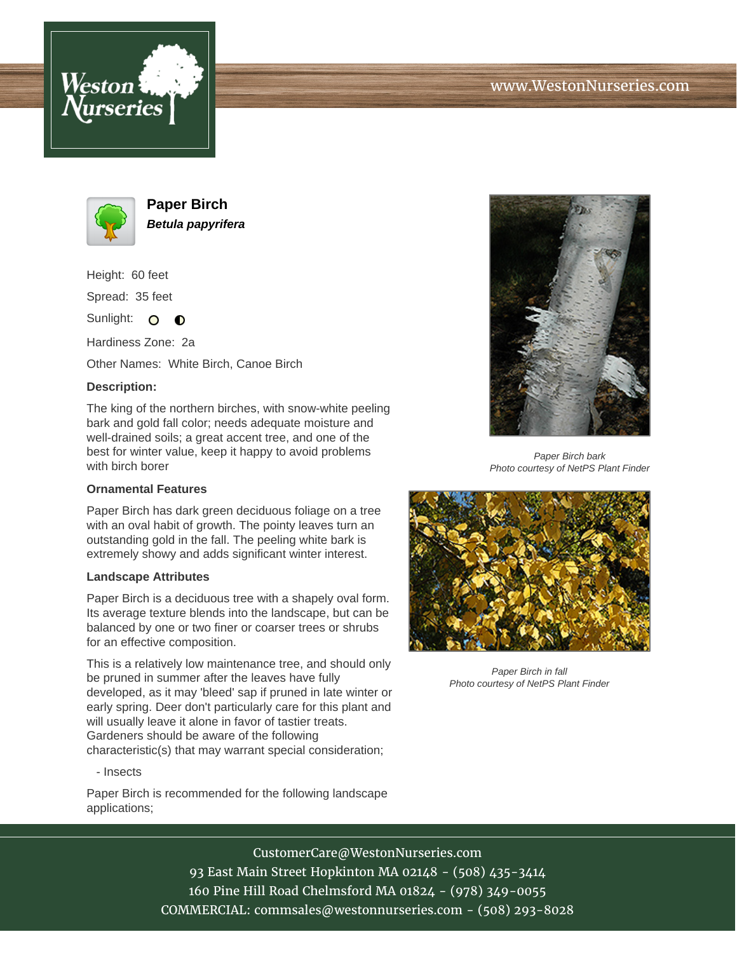



**Paper Birch Betula papyrifera**

Height: 60 feet Spread: 35 feet

Sunlight: O **O** 

Hardiness Zone: 2a

Other Names: White Birch, Canoe Birch

## **Description:**

The king of the northern birches, with snow-white peeling bark and gold fall color; needs adequate moisture and well-drained soils; a great accent tree, and one of the best for winter value, keep it happy to avoid problems with birch borer

## **Ornamental Features**

Paper Birch has dark green deciduous foliage on a tree with an oval habit of growth. The pointy leaves turn an outstanding gold in the fall. The peeling white bark is extremely showy and adds significant winter interest.

## **Landscape Attributes**

Paper Birch is a deciduous tree with a shapely oval form. Its average texture blends into the landscape, but can be balanced by one or two finer or coarser trees or shrubs for an effective composition.

This is a relatively low maintenance tree, and should only be pruned in summer after the leaves have fully developed, as it may 'bleed' sap if pruned in late winter or early spring. Deer don't particularly care for this plant and will usually leave it alone in favor of tastier treats. Gardeners should be aware of the following characteristic(s) that may warrant special consideration;

- Insects

Paper Birch is recommended for the following landscape applications;



Paper Birch bark Photo courtesy of NetPS Plant Finder



Paper Birch in fall Photo courtesy of NetPS Plant Finder

CustomerCare@WestonNurseries.com

93 East Main Street Hopkinton MA 02148 - (508) 435-3414 160 Pine Hill Road Chelmsford MA 01824 - (978) 349-0055 COMMERCIAL: commsales@westonnurseries.com - (508) 293-8028